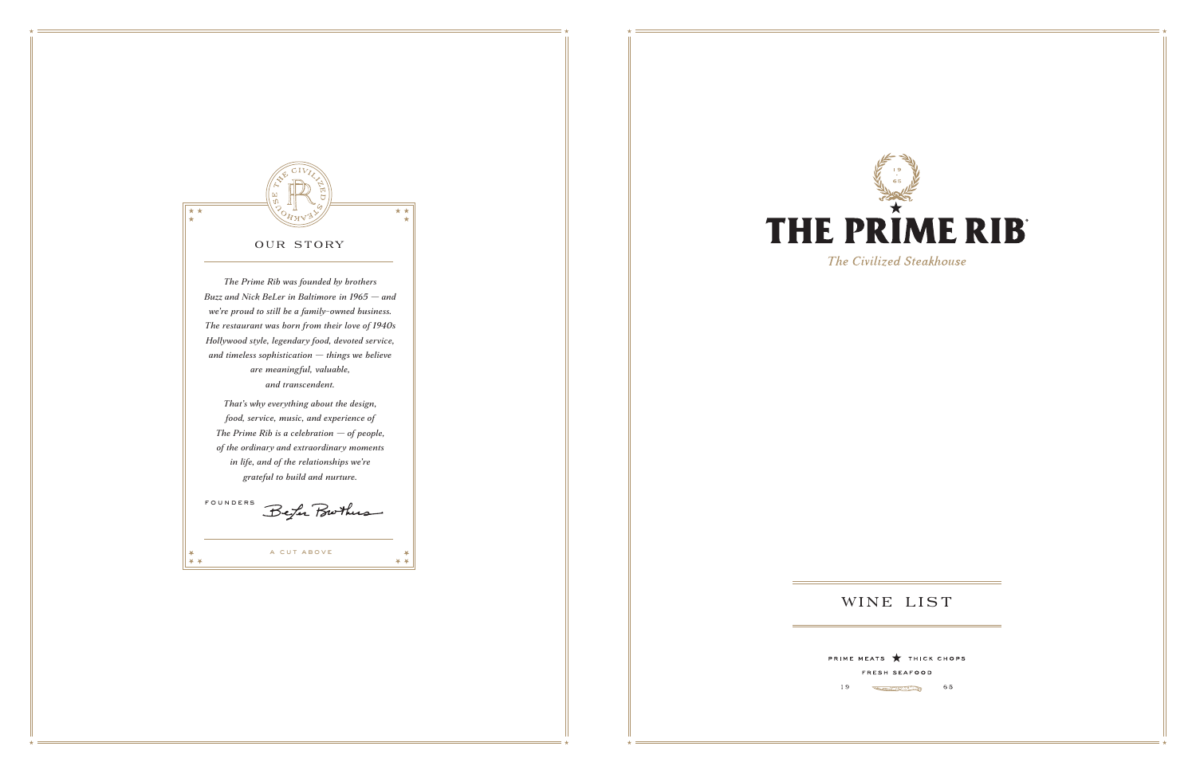

19



The Civilized Steakhouse

# WINE LIST

PRIME MEATS THICK CHOPS FRESH SEAFOOD

 $65$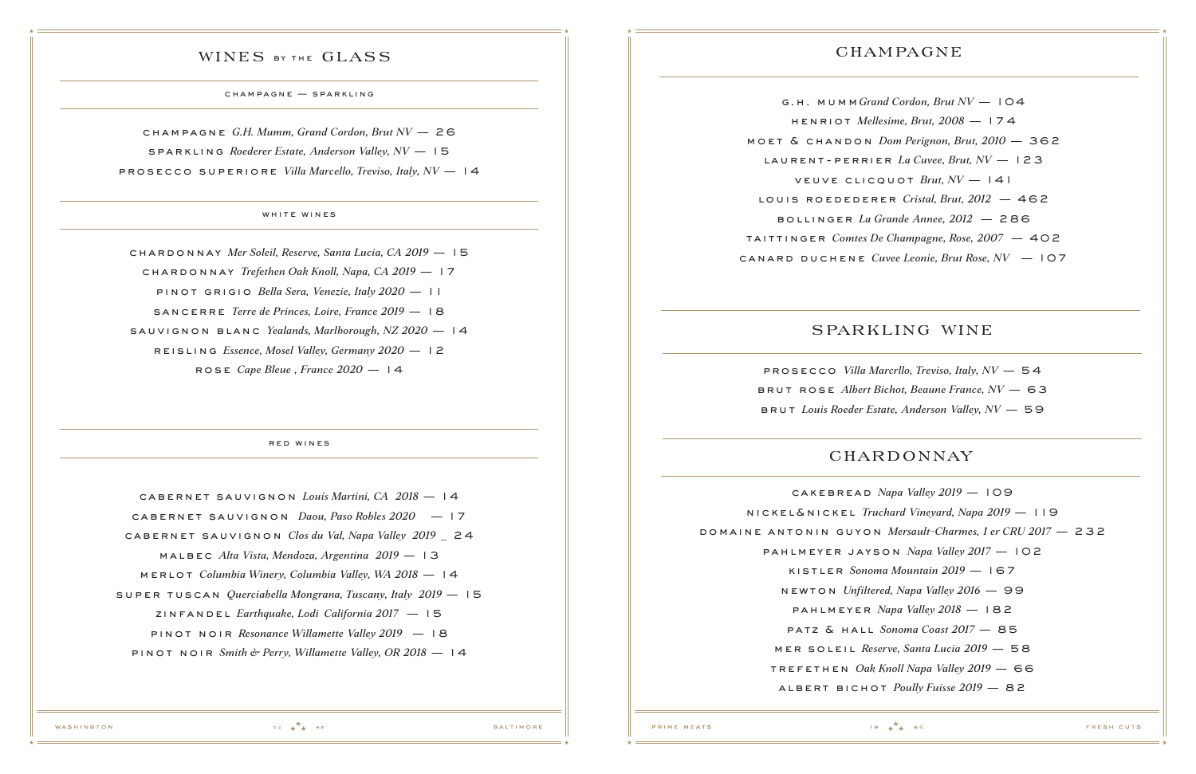### WINES BY THE GLASS

champagne — sparkling

red wines

champagne *G.H. Mumm, Grand Cordon, Brut NV* — 26 sparkling *Roederer Estate, Anderson Valley, NV* — 15 prosecco superiore *Villa Marcello, Treviso, Italy, NV* — 14

### WHITE WINES

chardonnay *Mer Soleil, Reserve, Santa Lucia, CA 2019* — 15 chardonnay *Trefethen Oak Knoll, Napa, CA 2019* — 17 pinot grigio *Bella Sera, Venezie, Italy 2020* — 11 SANCERRE *Terre de Princes, Loire, France* 2019 – 18 sauvignon blanc *Yealands, Marlborough, NZ 2020* — 14 reisling *Essence, Mosel Valley, Germany 2020* — 12 rose *Cape Bleue , France 2020* — 14

prosecco *Villa Marcrllo, Treviso, Italy, NV* — 54 brut rose *Albert Bichot, Beaune France, NV* — 63 BRUT *Louis Roeder Estate, Anderson Valley, NV* - 59

# **CHARDONNAY**

cabernet sauvignon *Louis Martini, CA 2018* — 14 cabernet sauvignon *Daou, Paso Robles 2020* — 17 cabernet sauvignon *Clos du Val, Napa Valley 2019* \_ 24 malbec *Alta Vista, Mendoza, Argentina 2019* — 13 merlot *Columbia Winery, Columbia Valley, WA 2018* — 14 super tuscan *Querciabella Mongrana, Tuscany, Italy 2019* — 15 zinfandel *Earthquake, Lodi California 2017* — 15 pinot noir *Resonance Willamette Valley 2019* — 18 pinot noir *Smith & Perry, Willamette Valley, OR 2018* — 14

# CHAMPAGNE

g.h. mumm*Grand Cordon, Brut NV* — 104 henriot *Mellesime, Brut, 2008* — 174 moet & chandon *Dom Perignon, Brut, 2010* — 362 laurent-perrier *La Cuvee, Brut, NV* — 123 veuve clicquot *Brut, NV* — 141 louis roedederer *Cristal, Brut, 2012* — 462 bollinger *La Grande Annee, 2012* — 286 taittinger *Comtes De Champagne, Rose, 2007* — 402 canard duchene *Cuvee Leonie, Brut Rose, NV* — 107

# sparkling wine

 $19 + x + 65$ 

cakebread *Napa Valley 2019* — 109 nickel&nickel *Truchard Vineyard, Napa 2019* — 119 domaine antonin guyon *Mersault-Charmes, 1 er CRU 2017* — 232 pahlmeyer jayson *Napa Valley 2017* — 102 kistler *Sonoma Mountain 2019* — 167 newton *Unfiltered, Napa Valley 2016* — 99 pahlmeyer *Napa Valley 2018* — 182 patz & hall *Sonoma Coast 2017* — 85 mer soleil *Reserve, Santa Lucia 2019* — 58 trefethen *Oak Knoll Napa Valley 2019* — 66 albert bichot *Poully Fuisse 2019* — 82

PRIME MEATS

 $DC + A$  MD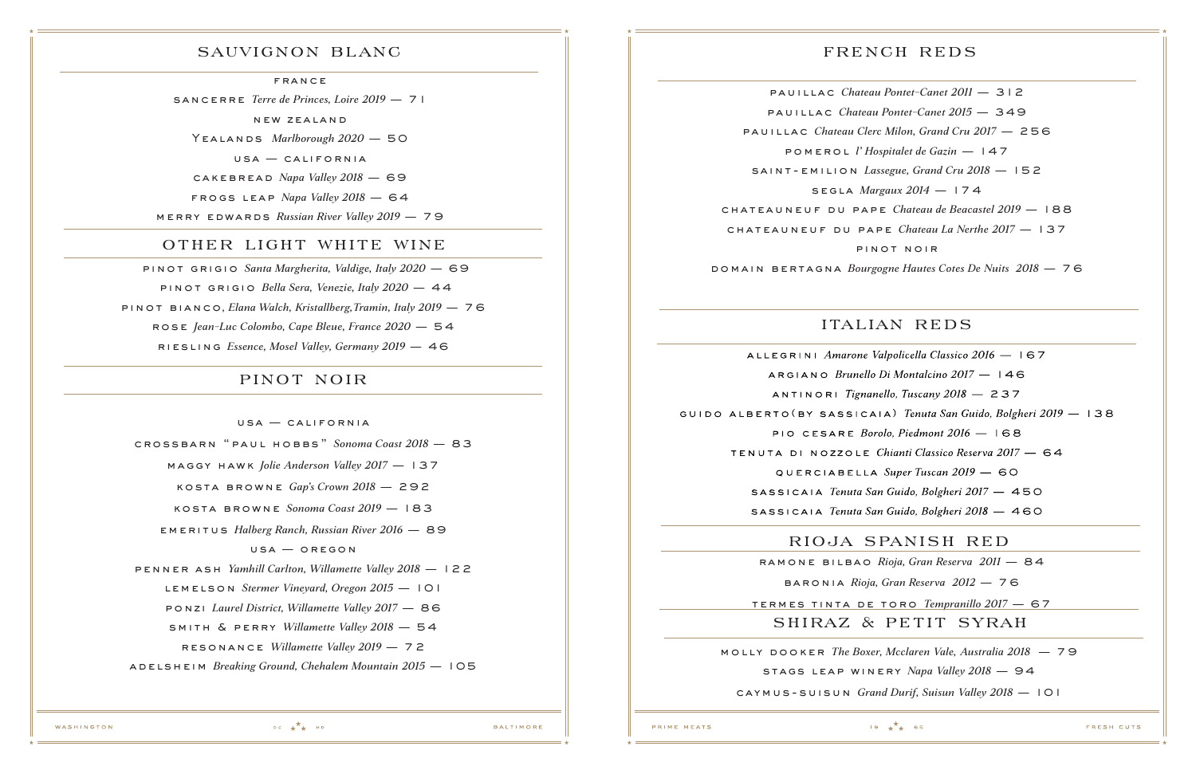termes tinta de toro *Tempranillo 2017* — 67

sancerre *Terre de Princes, Loire 2019* — 7 1

new zea lan d

Yealands *Marlborough 2020* — 50

usa — california

cakebread *Napa Valley 2018* — 69

frogs leap *Napa Valley 2018* — 64

merry edwards *Russian River Valley 2019* — 79

### other light white wine

### sauvignon blanc

**FRANCE** 

 pinot grigio *Santa Margherita, Valdige, Italy 2020* — 69 pinot grigio *Bella Sera, Venezie, Italy 2020* — 44 pinot bianco*, Elana Walch, Kristallberg,Tramin, Italy 2019* — 76 rose *Jean-Luc Colombo, Cape Bleue, France 2020* — 54 riesling *Essence, Mosel Valley, Germany 2019* — 46

### pinot noir

 $USA - CALIFORMIA$ 

# french reds

ramone bilbao *Rioja, Gran Reserva 2011* — 84 baronia *Rioja, Gran Reserva 2012* — 76 shiraz & petit syrah

crossbarn "paul hobbs" *Sonoma Coast 2018* — 83 maggy hawk *Jolie Anderson Valley 2017* — 137 kosta browne *Gap's Crown 2018* — 292 kosta browne *Sonoma Coast 2019* — 183 emeritus *Halberg Ranch, Russian River 2016* — 89 usa — oregon penner ash *Yamhill Carlton, Willamette Valley 2018* — 122 lemelson *Stermer Vineyard, Oregon 2015* — 101 ponzi *Laurel District, Willamette Valley 2017* — 86 smith & perry *Willamette Valley 2018* — 54 resonance *Willamette Valley 2019* — 72 adelsheim *Breaking Ground, Chehalem Mountain 2015* — 105

pauillac *Chateau Pontet-Canet 2011* — 312 pauillac *Chateau Pontet-Canet 2015* — 349 pauillac *Chateau Clerc Milon, Grand Cru 2017* — 256 pomerol *l' Hospitalet de Gazin* — 147 saint-emilion *Lassegue, Grand Cru 2018* — 152 segla *Margaux 2014* — 174 chateauneuf du pape *Chateau de Beacastel 2019* — 188 chateauneuf du pape *Chateau La Nerthe 2017* — 137 pinot noir domain bertagna *Bourgogne Hautes Cotes De Nuits 2018* — 76

ALLEGRINI Amarone Valpolicella Classico 2016 - 167 ARGIANO Brunello Di Montalcino 2017 - 146 ANTINORI Tignanello, Tuscany  $2018 - 237$ GUIDO ALBERTO (BY SASSICAIA) Tenuta San Guido, Bolgheri 2019 - 138 PIO CESARE Borolo, Piedmont 2016 - I68 TENUTA DI NOZZOLE Chianti Classico Reserva 2017 - 64 QUERCIABELLA Super Tuscan 2019 - 60 SASSICAIA Tenuta San Guido, Bolgheri 2017 - 450 SASSICAIA Tenuta San Guido, Bolgheri 2018 - 460

# italian reds

 $19 + x + 65$ 

# rioja spanish red

molly dooker *The Boxer, Mcclaren Vale, Australia 2018* — 79 stags leap winery *Napa Valley 2018* — 94 caymus-suisun *Grand Durif, Suisun Valley 2018* — 101

PRIME MEATS

**BALTIMORE** 

WASHINGTON

 $DC + A$  MD